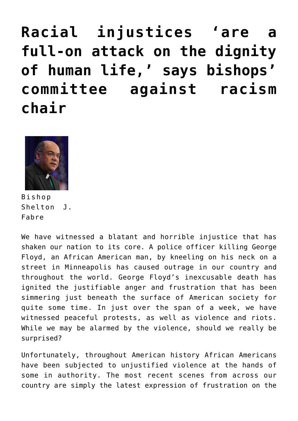**[Racial injustices 'are a](https://www.osvnews.com/amp/2020/06/04/racial-injustices-are-a-full-on-attack-on-the-dignity-of-human-life-says-bishops-committee-against-racism-chair/) [full-on attack on the dignity](https://www.osvnews.com/amp/2020/06/04/racial-injustices-are-a-full-on-attack-on-the-dignity-of-human-life-says-bishops-committee-against-racism-chair/) [of human life,' says bishops'](https://www.osvnews.com/amp/2020/06/04/racial-injustices-are-a-full-on-attack-on-the-dignity-of-human-life-says-bishops-committee-against-racism-chair/) [committee against racism](https://www.osvnews.com/amp/2020/06/04/racial-injustices-are-a-full-on-attack-on-the-dignity-of-human-life-says-bishops-committee-against-racism-chair/) [chair](https://www.osvnews.com/amp/2020/06/04/racial-injustices-are-a-full-on-attack-on-the-dignity-of-human-life-says-bishops-committee-against-racism-chair/)**



Bishop Shelton J. Fabre

We have witnessed a blatant and horrible injustice that has shaken our nation to its core. A police officer killing George Floyd, an African American man, by kneeling on his neck on a street in Minneapolis has caused outrage in our country and throughout the world. George Floyd's inexcusable death has ignited the justifiable anger and frustration that has been simmering just beneath the surface of American society for quite some time. In just over the span of a week, we have witnessed peaceful protests, as well as violence and riots. While we may be alarmed by the violence, should we really be surprised?

Unfortunately, throughout American history African Americans have been subjected to unjustified violence at the hands of some in authority. The most recent scenes from across our country are simply the latest expression of frustration on the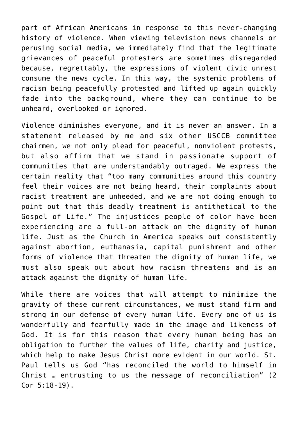part of African Americans in response to this never-changing history of violence. When viewing television news channels or perusing social media, we immediately find that the legitimate grievances of peaceful protesters are sometimes disregarded because, regrettably, the expressions of violent civic unrest consume the news cycle. In this way, the systemic problems of racism being peacefully protested and lifted up again quickly fade into the background, where they can continue to be unheard, overlooked or ignored.

Violence diminishes everyone, and it is never an answer. In a statement released by me and six other USCCB committee chairmen, we not only plead for peaceful, nonviolent protests, but also affirm that we stand in passionate support of communities that are understandably outraged. We express the certain reality that "too many communities around this country feel their voices are not being heard, their complaints about racist treatment are unheeded, and we are not doing enough to point out that this deadly treatment is antithetical to the Gospel of Life." The injustices people of color have been experiencing are a full-on attack on the dignity of human life. Just as the Church in America speaks out consistently against abortion, euthanasia, capital punishment and other forms of violence that threaten the dignity of human life, we must also speak out about how racism threatens and is an attack against the dignity of human life.

While there are voices that will attempt to minimize the gravity of these current circumstances, we must stand firm and strong in our defense of every human life. Every one of us is wonderfully and fearfully made in the image and likeness of God. It is for this reason that every human being has an obligation to further the values of life, charity and justice, which help to make Jesus Christ more evident in our world. St. Paul tells us God "has reconciled the world to himself in Christ … entrusting to us the message of reconciliation" (2 Cor 5:18-19).